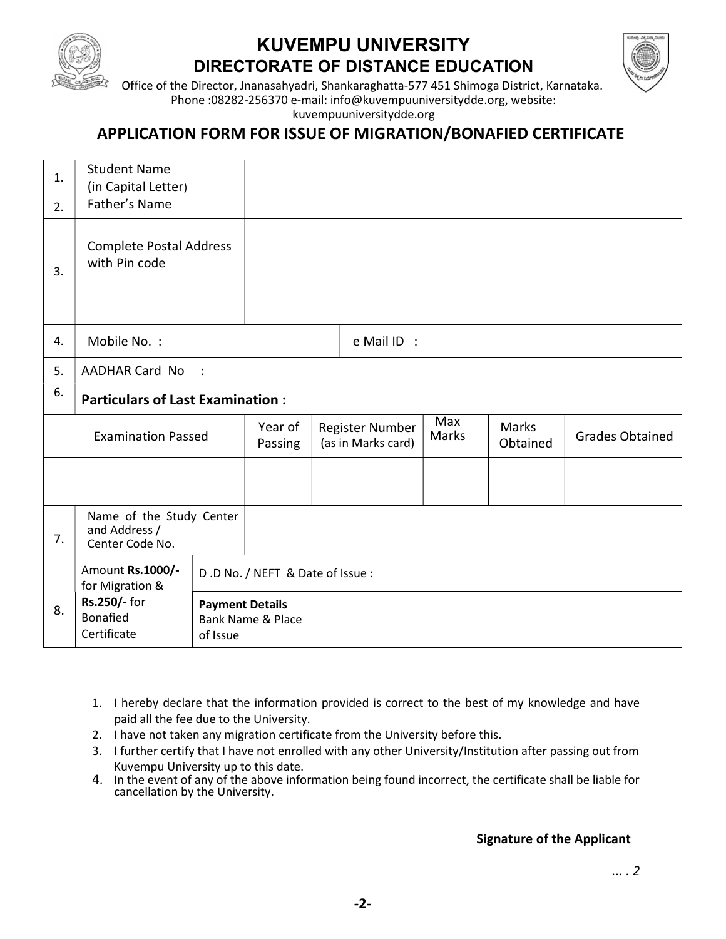

# KUVEMPU UNIVERSITY DIRECTORATE OF DISTANCE EDUCATION



Office of the Director, Jnanasahyadri, Shankaraghatta-577 451 Shimoga District, Karnataka. Phone :08282-256370 e-mail: info@kuvempuuniversitydde.org, website:

kuvempuuniversitydde.org

# APPLICATION FORM FOR ISSUE OF MIGRATION/BONAFIED CERTIFICATE

| 1. | <b>Student Name</b><br>(in Capital Letter)                   |                                    |                                 |                                       |                     |                   |                        |
|----|--------------------------------------------------------------|------------------------------------|---------------------------------|---------------------------------------|---------------------|-------------------|------------------------|
| 2. | Father's Name                                                |                                    |                                 |                                       |                     |                   |                        |
| 3. | <b>Complete Postal Address</b><br>with Pin code              |                                    |                                 |                                       |                     |                   |                        |
| 4. | Mobile No.:                                                  |                                    |                                 | e Mail ID :                           |                     |                   |                        |
| 5. | <b>AADHAR Card No</b>                                        | $\ddot{\phantom{1}}$               |                                 |                                       |                     |                   |                        |
| 6. | <b>Particulars of Last Examination:</b>                      |                                    |                                 |                                       |                     |                   |                        |
|    | <b>Examination Passed</b>                                    |                                    | Year of<br>Passing              | Register Number<br>(as in Marks card) | Max<br><b>Marks</b> | Marks<br>Obtained | <b>Grades Obtained</b> |
|    |                                                              |                                    |                                 |                                       |                     |                   |                        |
| 7. | Name of the Study Center<br>and Address /<br>Center Code No. |                                    |                                 |                                       |                     |                   |                        |
|    | Amount Rs.1000/-<br>for Migration &                          |                                    | D.D No. / NEFT & Date of Issue: |                                       |                     |                   |                        |
| 8. | Rs.250/- for<br><b>Bonafied</b><br>Certificate               | <b>Payment Details</b><br>of Issue | <b>Bank Name &amp; Place</b>    |                                       |                     |                   |                        |

- 1. I hereby declare that the information provided is correct to the best of my knowledge and have paid all the fee due to the University.
- 2. I have not taken any migration certificate from the University before this.
- 3. I further certify that I have not enrolled with any other University/Institution after passing out from Kuvempu University up to this date.
- 4. In the event of any of the above information being found incorrect, the certificate shall be liable for cancellation by the University.

#### Signature of the Applicant